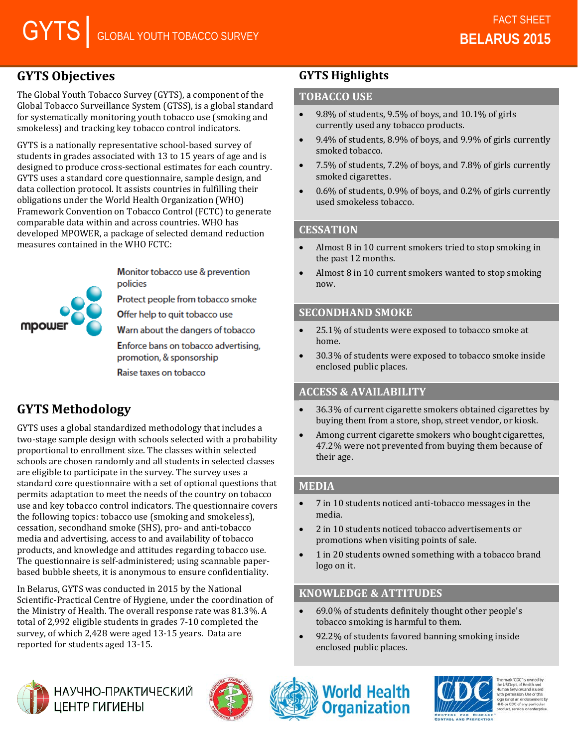# **GYTS Objectives**

The Global Youth Tobacco Survey (GYTS), a component of the Global Tobacco Surveillance System (GTSS), is a global standard for systematically monitoring youth tobacco use (smoking and smokeless) and tracking key tobacco control indicators.

GYTS is a nationally representative school-based survey of students in grades associated with 13 to 15 years of age and is designed to produce cross-sectional estimates for each country. GYTS uses a standard core questionnaire, sample design, and data collection protocol. It assists countries in fulfilling their obligations under the World Health Organization (WHO) Framework Convention on Tobacco Control (FCTC) to generate comparable data within and across countries. WHO has developed MPOWER, a package of selected demand reduction measures contained in the WHO FCTC:

**MDOWS** 

Monitor tobacco use & prevention policies

Protect people from tobacco smoke

Offer help to quit tobacco use

Warn about the dangers of tobacco

Enforce bans on tobacco advertising, promotion, & sponsorship

Raise taxes on tobacco

# **GYTS Methodology**

GYTS uses a global standardized methodology that includes a two-stage sample design with schools selected with a probability proportional to enrollment size. The classes within selected schools are chosen randomly and all students in selected classes are eligible to participate in the survey. The survey uses a standard core questionnaire with a set of optional questions that permits adaptation to meet the needs of the country on tobacco use and key tobacco control indicators. The questionnaire covers the following topics: tobacco use (smoking and smokeless), cessation, secondhand smoke (SHS), pro- and anti-tobacco media and advertising, access to and availability of tobacco products, and knowledge and attitudes regarding tobacco use. The questionnaire is self-administered; using scannable paperbased bubble sheets, it is anonymous to ensure confidentiality.

In Belarus, GYTS was conducted in 2015 by the National Scientific-Practical Centre of Hygiene, under the coordination of the Ministry of Health. The overall response rate was 81.3%. A total of 2,992 eligible students in grades 7-10 completed the survey, of which 2,428 were aged 13-15 years. Data are reported for students aged 13-15.

## **GYTS Highlights**

### **TOBACCO USE**

- $9.8\%$  of students,  $9.5\%$  of boys, and  $10.1\%$  of girls currently used any tobacco products.
- 9.4% of students, 8.9% of boys, and 9.9% of girls currently smoked tobacco.
- 7.5% of students, 7.2% of boys, and 7.8% of girls currently smoked cigarettes.
- 0.6% of students, 0.9% of boys, and 0.2% of girls currently used smokeless tobacco.

### **CESSATION**

- Almost 8 in 10 current smokers tried to stop smoking in the past 12 months.
- Almost 8 in 10 current smokers wanted to stop smoking now.

### **SECONDHAND SMOKE**

- 25.1% of students were exposed to tobacco smoke at home.
- 30.3% of students were exposed to tobacco smoke inside enclosed public places.

### **ACCESS & AVAILABILITY**

- 36.3% of current cigarette smokers obtained cigarettes by buying them from a store, shop, street vendor, or kiosk.
- Among current cigarette smokers who bought cigarettes, 47.2% were not prevented from buying them because of their age.

### **MEDIA**

- 7 in 10 students noticed anti-tobacco messages in the media.
- 2 in 10 students noticed tobacco advertisements or promotions when visiting points of sale.
- 1 in 20 students owned something with a tobacco brand logo on it.

### **KNOWLEDGE & ATTITUDES**

- 69.0% of students definitely thought other people's tobacco smoking is harmful to them.
- 92.2% of students favored banning smoking inside enclosed public places.



НАУЧНО-ПРАКТИЧЕСКИЙ ЦЕНТР ГИГИЕНЫ







the US Dept. of Health and<br>Human Services and is used ssion. Use of thi HS or CDC of any particula